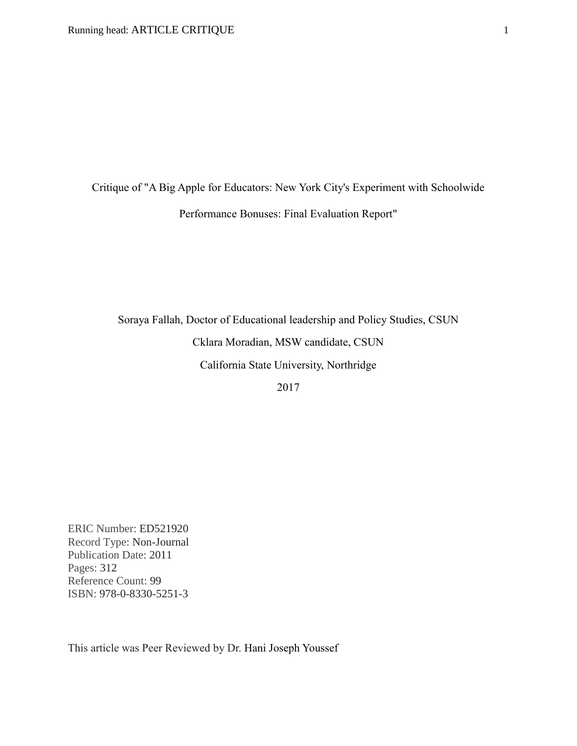Critique of "A Big Apple for Educators: New York City's Experiment with Schoolwide Performance Bonuses: Final Evaluation Report"

Soraya Fallah, Doctor of Educational leadership and Policy Studies, CSUN Cklara Moradian, MSW candidate, CSUN California State University, Northridge 2017

ERIC Number: ED521920 Record Type: Non-Journal Publication Date: 2011 Pages: 312 Reference Count: 99 ISBN: 978-0-8330-5251-3

This article was Peer Reviewed by Dr. Hani Joseph Youssef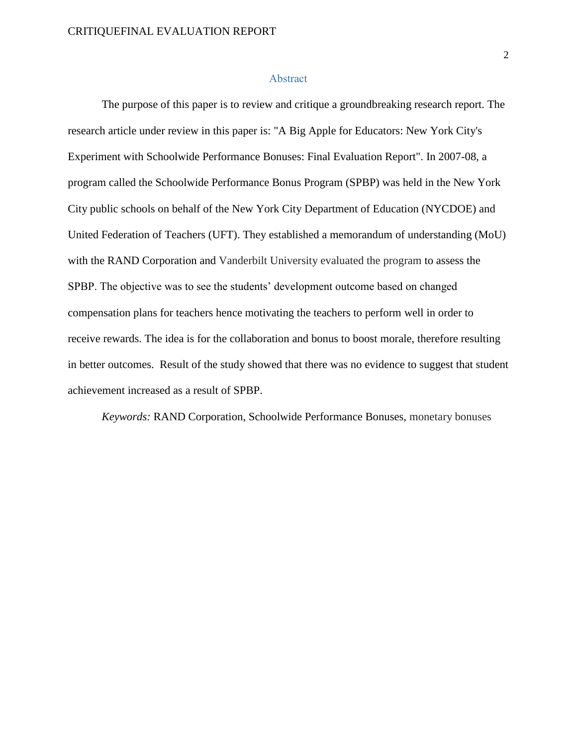#### Abstract

The purpose of this paper is to review and critique a groundbreaking research report. The research article under review in this paper is: "A Big Apple for Educators: New York City's Experiment with Schoolwide Performance Bonuses: Final Evaluation Report". In 2007-08, a program called the Schoolwide Performance Bonus Program (SPBP) was held in the New York City public schools on behalf of the New York City Department of Education (NYCDOE) and United Federation of Teachers (UFT). They established a memorandum of understanding (MoU) with the RAND Corporation and Vanderbilt University evaluated the program to assess the SPBP. The objective was to see the students' development outcome based on changed compensation plans for teachers hence motivating the teachers to perform well in order to receive rewards. The idea is for the collaboration and bonus to boost morale, therefore resulting in better outcomes. Result of the study showed that there was no evidence to suggest that student achievement increased as a result of SPBP.

*Keywords:* RAND Corporation, Schoolwide Performance Bonuses, monetary bonuses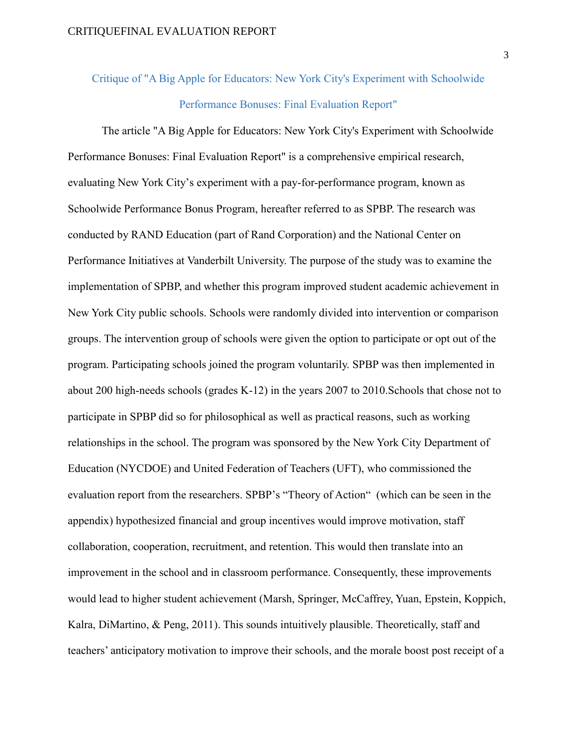# Critique of "A Big Apple for Educators: New York City's Experiment with Schoolwide Performance Bonuses: Final Evaluation Report"

The article "A Big Apple for Educators: New York City's Experiment with Schoolwide Performance Bonuses: Final Evaluation Report" is a comprehensive empirical research, evaluating New York City's experiment with a pay-for-performance program, known as Schoolwide Performance Bonus Program, hereafter referred to as SPBP. The research was conducted by RAND Education (part of Rand Corporation) and the National Center on Performance Initiatives at Vanderbilt University. The purpose of the study was to examine the implementation of SPBP, and whether this program improved student academic achievement in New York City public schools. Schools were randomly divided into intervention or comparison groups. The intervention group of schools were given the option to participate or opt out of the program. Participating schools joined the program voluntarily. SPBP was then implemented in about 200 high-needs schools (grades K-12) in the years 2007 to 2010.Schools that chose not to participate in SPBP did so for philosophical as well as practical reasons, such as working relationships in the school. The program was sponsored by the New York City Department of Education (NYCDOE) and United Federation of Teachers (UFT), who commissioned the evaluation report from the researchers. SPBP's "Theory of Action" (which can be seen in the appendix) hypothesized financial and group incentives would improve motivation, staff collaboration, cooperation, recruitment, and retention. This would then translate into an improvement in the school and in classroom performance. Consequently, these improvements would lead to higher student achievement (Marsh, Springer, McCaffrey, Yuan, Epstein, Koppich, Kalra, DiMartino, & Peng, 2011). This sounds intuitively plausible. Theoretically, staff and teachers' anticipatory motivation to improve their schools, and the morale boost post receipt of a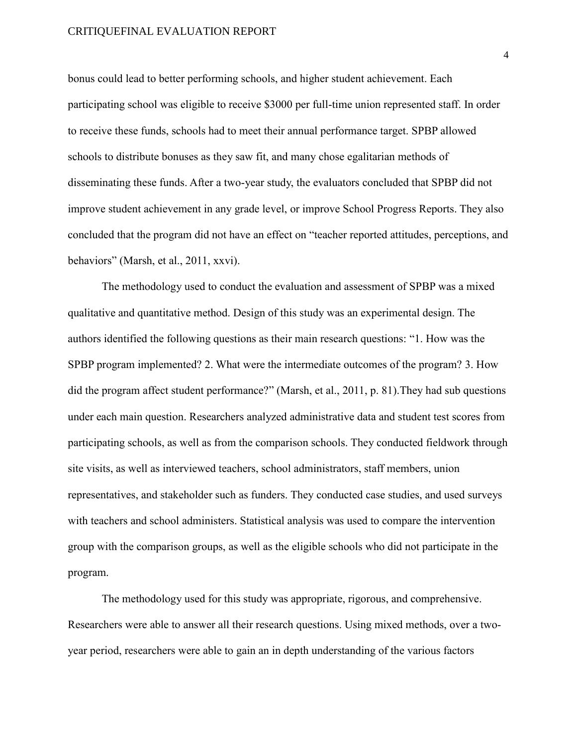### CRITIQUEFINAL EVALUATION REPORT

bonus could lead to better performing schools, and higher student achievement. Each participating school was eligible to receive \$3000 per full-time union represented staff. In order to receive these funds, schools had to meet their annual performance target. SPBP allowed schools to distribute bonuses as they saw fit, and many chose egalitarian methods of disseminating these funds. After a two-year study, the evaluators concluded that SPBP did not improve student achievement in any grade level, or improve School Progress Reports. They also concluded that the program did not have an effect on "teacher reported attitudes, perceptions, and behaviors" (Marsh, et al., 2011, xxvi).

The methodology used to conduct the evaluation and assessment of SPBP was a mixed qualitative and quantitative method. Design of this study was an experimental design. The authors identified the following questions as their main research questions: "1. How was the SPBP program implemented? 2. What were the intermediate outcomes of the program? 3. How did the program affect student performance?" (Marsh, et al., 2011, p. 81).They had sub questions under each main question. Researchers analyzed administrative data and student test scores from participating schools, as well as from the comparison schools. They conducted fieldwork through site visits, as well as interviewed teachers, school administrators, staff members, union representatives, and stakeholder such as funders. They conducted case studies, and used surveys with teachers and school administers. Statistical analysis was used to compare the intervention group with the comparison groups, as well as the eligible schools who did not participate in the program.

The methodology used for this study was appropriate, rigorous, and comprehensive. Researchers were able to answer all their research questions. Using mixed methods, over a twoyear period, researchers were able to gain an in depth understanding of the various factors

4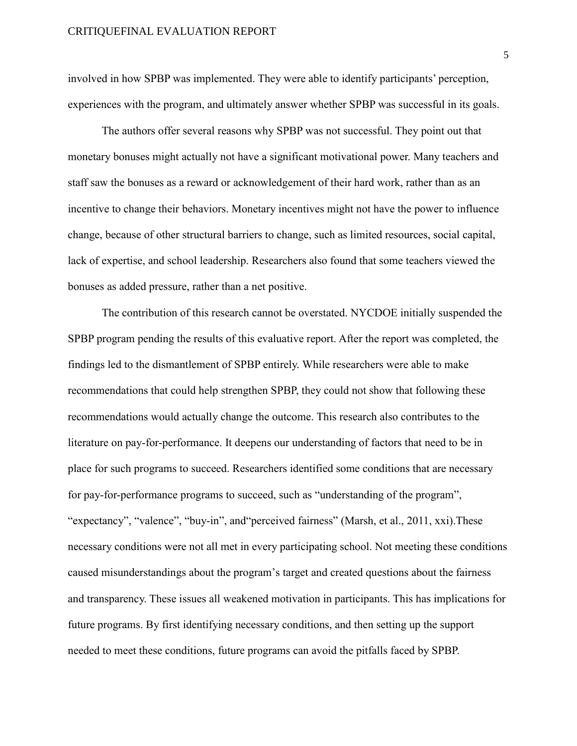### CRITIQUEFINAL EVALUATION REPORT

involved in how SPBP was implemented. They were able to identify participants' perception, experiences with the program, and ultimately answer whether SPBP was successful in its goals.

The authors offer several reasons why SPBP was not successful. They point out that monetary bonuses might actually not have a significant motivational power. Many teachers and staff saw the bonuses as a reward or acknowledgement of their hard work, rather than as an incentive to change their behaviors. Monetary incentives might not have the power to influence change, because of other structural barriers to change, such as limited resources, social capital, lack of expertise, and school leadership. Researchers also found that some teachers viewed the bonuses as added pressure, rather than a net positive.

The contribution of this research cannot be overstated. NYCDOE initially suspended the SPBP program pending the results of this evaluative report. After the report was completed, the findings led to the dismantlement of SPBP entirely. While researchers were able to make recommendations that could help strengthen SPBP, they could not show that following these recommendations would actually change the outcome. This research also contributes to the literature on pay-for-performance. It deepens our understanding of factors that need to be in place for such programs to succeed. Researchers identified some conditions that are necessary for pay-for-performance programs to succeed, such as "understanding of the program", "expectancy", "valence", "buy-in", and"perceived fairness" (Marsh, et al., 2011, xxi).These necessary conditions were not all met in every participating school. Not meeting these conditions caused misunderstandings about the program's target and created questions about the fairness and transparency. These issues all weakened motivation in participants. This has implications for future programs. By first identifying necessary conditions, and then setting up the support needed to meet these conditions, future programs can avoid the pitfalls faced by SPBP.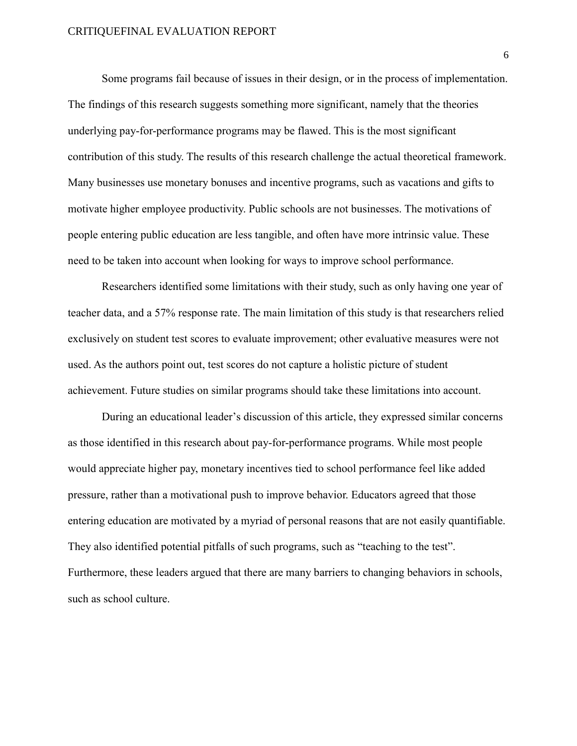### CRITIQUEFINAL EVALUATION REPORT

Some programs fail because of issues in their design, or in the process of implementation. The findings of this research suggests something more significant, namely that the theories underlying pay-for-performance programs may be flawed. This is the most significant contribution of this study. The results of this research challenge the actual theoretical framework. Many businesses use monetary bonuses and incentive programs, such as vacations and gifts to motivate higher employee productivity. Public schools are not businesses. The motivations of people entering public education are less tangible, and often have more intrinsic value. These need to be taken into account when looking for ways to improve school performance.

Researchers identified some limitations with their study, such as only having one year of teacher data, and a 57% response rate. The main limitation of this study is that researchers relied exclusively on student test scores to evaluate improvement; other evaluative measures were not used. As the authors point out, test scores do not capture a holistic picture of student achievement. Future studies on similar programs should take these limitations into account.

During an educational leader's discussion of this article, they expressed similar concerns as those identified in this research about pay-for-performance programs. While most people would appreciate higher pay, monetary incentives tied to school performance feel like added pressure, rather than a motivational push to improve behavior. Educators agreed that those entering education are motivated by a myriad of personal reasons that are not easily quantifiable. They also identified potential pitfalls of such programs, such as "teaching to the test". Furthermore, these leaders argued that there are many barriers to changing behaviors in schools, such as school culture.

6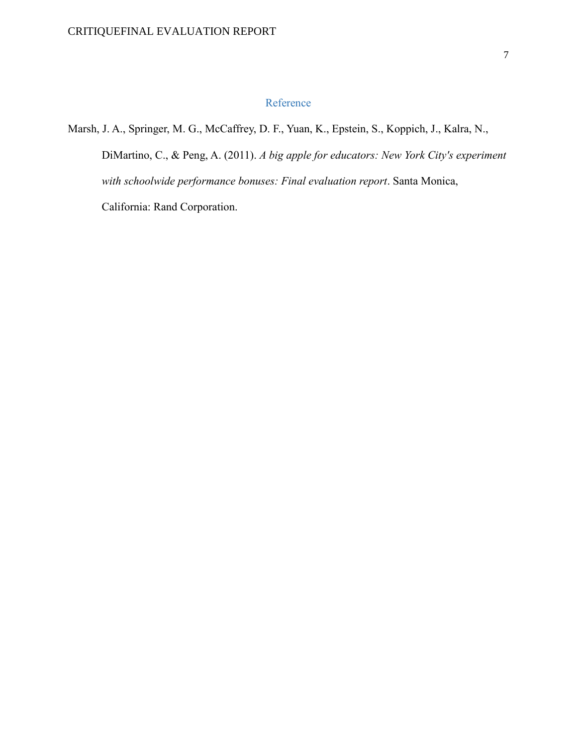## Reference

Marsh, J. A., Springer, M. G., McCaffrey, D. F., Yuan, K., Epstein, S., Koppich, J., Kalra, N.,

DiMartino, C., & Peng, A. (2011). *A big apple for educators: New York City's experiment with schoolwide performance bonuses: Final evaluation report*. Santa Monica, California: Rand Corporation.